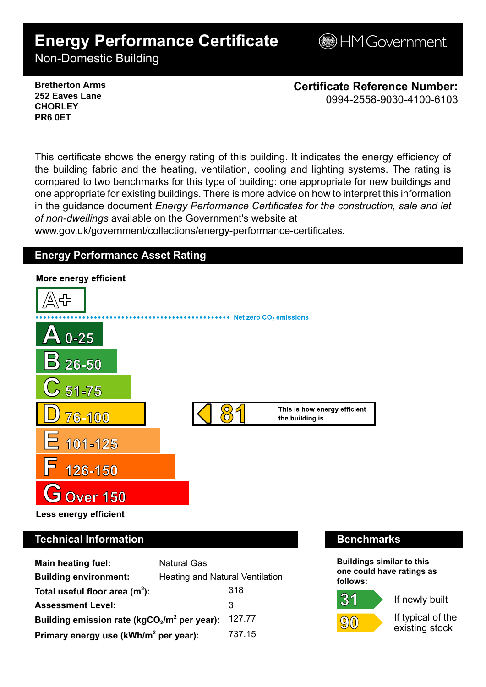# **Energy Performance Certificate**

**BHM Government** 

Non-Domestic Building

### **Bretherton Arms 252 Eaves Lane CHORLEY PR6 0ET**

**Certificate Reference Number:** 0994-2558-9030-4100-6103

This certificate shows the energy rating of this building. It indicates the energy efficiency of the building fabric and the heating, ventilation, cooling and lighting systems. The rating is compared to two benchmarks for this type of building: one appropriate for new buildings and one appropriate for existing buildings. There is more advice on how to interpret this information in the guidance document *Energy Performance Certificates for the construction, sale and let of non-dwellings* available on the Government's website at

www.gov.uk/government/collections/energy-performance-certificates.

# **Energy Performance Asset Rating**



# **Technical Information Benchmarks**

| <b>Main heating fuel:</b>                         | <b>Natural Gas</b>                     |        |
|---------------------------------------------------|----------------------------------------|--------|
| <b>Building environment:</b>                      | <b>Heating and Natural Ventilation</b> |        |
| Total useful floor area $(m2)$ :                  |                                        | 318    |
| <b>Assessment Level:</b>                          |                                        | 3      |
| Building emission rate ( $kgCO2/m2$ per year):    |                                        | 127.77 |
| Primary energy use (kWh/m <sup>2</sup> per year): |                                        | 737.15 |

**Buildings similar to this one could have ratings as follows:**



 $31$ 

If newly built

If typical of the existing stock